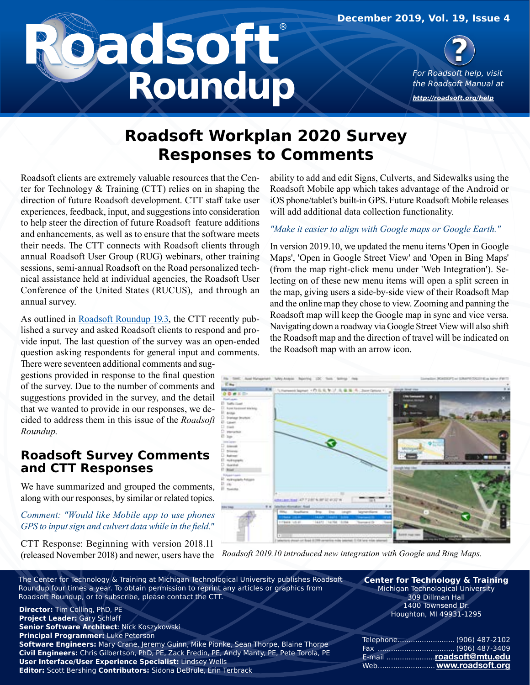**December 2019, Vol. 19, Issue 4**

# **Roundup**



**[http://roadsoft.org/](http://roadsoft.org/help)help**

# **Roadsoft Workplan 2020 Survey Responses to Comments**

Roadsoft clients are extremely valuable resources that the Center for Technology & Training (CTT) relies on in shaping the direction of future Roadsoft development. CTT staff take user experiences, feedback, input, and suggestions into consideration to help steer the direction of future Roadsoft feature additions and enhancements, as well as to ensure that the software meets their needs. The CTT connects with Roadsoft clients through annual Roadsoft User Group (RUG) webinars, other training sessions, semi-annual Roadsoft on the Road personalized technical assistance held at individual agencies, the Roadsoft User Conference of the United States (RUCUS), and through an annual survey.

As outlined in [Roadsoft Roundup 19.3,](https://roadsoft.org/sites/roadsoft/files/RoundUps/roundupv19n3_0.pdf) the CTT recently published a survey and asked Roadsoft clients to respond and provide input. The last question of the survey was an open-ended question asking respondents for general input and comments.

There were seventeen additional comments and suggestions provided in response to the final question of the survey. Due to the number of comments and suggestions provided in the survey, and the detail that we wanted to provide in our responses, we decided to address them in this issue of the *Roadsoft Roundup*.

## **Roadsoft Survey Comments and CTT Responses**

We have summarized and grouped the comments, along with our responses, by similar or related topics.

### *Comment: "Would like Mobile app to use phones GPS to input sign and culvert data while in the field."*

CTT Response: Beginning with version 2018.11

ability to add and edit Signs, Culverts, and Sidewalks using the Roadsoft Mobile app which takes advantage of the Android or iOS phone/tablet's built-in GPS. Future Roadsoft Mobile releases will add additional data collection functionality.

### *"Make it easier to align with Google maps or Google Earth."*

In version 2019.10, we updated the menu items 'Open in Google Maps', 'Open in Google Street View' and 'Open in Bing Maps' (from the map right-click menu under 'Web Integration'). Selecting on of these new menu items will open a split screen in the map, giving users a side-by-side view of their Roadsoft Map and the online map they chose to view. Zooming and panning the Roadsoft map will keep the Google map in sync and vice versa. Navigating down a roadway via Google Street View will also shift the Roadsoft map and the direction of travel will be indicated on the Roadsoft map with an arrow icon.



(released November 2018) and newer, users have the *Roadsoft 2019.10 introduced new integration with Google and Bing Maps.*

The Center for Technology & Training at Michigan Technological University publishes Roadsoft Roundup four times a year. To obtain permission to reprint any articles or graphics from Roadsoft Roundup, or to subscribe, please contact the CTT.

**Director:** Tim Colling, PhD, PE **Project Leader:** Gary Schlaff **Senior Software Architect**: Nick Koszykowski **Principal Programmer:** Luke Peterson **Software Engineers:** Mary Crane, Jeremy Guinn, Mike Pionke, Sean Thorpe, Blaine Thorpe **Civil Engineers:** Chris Gilbertson, PhD, PE, Zack Fredin, PE, Andy Manty, PE, Pete Torola, PE **User Interface/User Experience Specialist:** Lindsey Wells **Editor:** Scott Bershing **Contributors:** Sidona DeBrule, Erin Terbrack

**Center for Technology & Training** Michigan Technological University 309 Dillman Hall 1400 Townsend Dr. Houghton, MI 49931-1295

| E-mail roadsoft@mtu.edu |
|-------------------------|
| Web www.roadsoft.org    |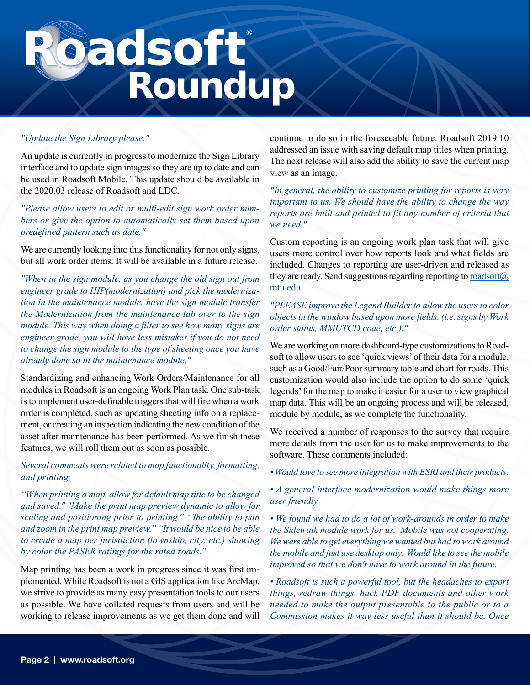# **Pacisoft**

### *"Update the Sign Library please."*

An update is currently in progress to modernize the Sign Library interface and to update sign images so they are up to date and can be used in Roadsoft Mobile. This update should be available in the 2020.03 release of Roadsoft and LDC.

*"Please allow users to edit or multi-edit sign work order numbers or give the option to automatically set them based upon predefined pattern such as date."*

We are currently looking into this functionality for not only signs, but all work order items. It will be available in a future release.

*"When in the sign module, as you change the old sign out from engineer grade to HIP(modernization) and pick the modernization in the maintenance module, have the sign module transfer the Modernization from the maintenance tab over to the sign module. This way when doing a filter to see how many signs are engineer grade, you will have less mistakes if you do not need to change the sign module to the type of sheeting once you have already done so in the maintenance module."*

Standardizing and enhancing Work Orders/Maintenance for all modules in Roadsoft is an ongoing Work Plan task. One sub-task is to implement user-definable triggers that will fire when a work order is completed, such as updating sheeting info on a replacement, or creating an inspection indicating the new condition of the asset after maintenance has been performed. As we finish these features, we will roll them out as soon as possible.

*Several comments were related to map functionality, formatting, and printing:*

*"When printing a map, allow for default map title to be changed and saved." "Make the print map preview dynamic to allow for scaling and positioning prior to printing." "The ability to pan and zoom in the print map preview." "It would be nice to be able to create a map per jurisdiction (township, city, etc.) showing by color the PASER ratings for the rated roads."*

Map printing has been a work in progress since it was first implemented. While Roadsoft is not a GIS application like ArcMap, we strive to provide as many easy presentation tools to our users as possible. We have collated requests from users and will be working to release improvements as we get them done and will continue to do so in the foreseeable future. Roadsoft 2019.10 addressed an issue with saving default map titles when printing. The next release will also add the ability to save the current map view as an image.

*"In general, the ability to customize printing for reports is very important to us. We should have the ability to change the way reports are built and printed to fit any number of criteria that we need."*

Custom reporting is an ongoing work plan task that will give users more control over how reports look and what fields are included. Changes to reporting are user-driven and released as they are ready. Send suggestions regarding reporting to roadsoft $\omega$ [mtu.edu](mailto:roadsoft%40mtu.edu?subject=).

### *"PLEASE improve the Legend Builder to allow the users to color objects in the window based upon more fields. (i.e. signs by Work order status, MMUTCD code, etc.)."*

We are working on more dashboard-type customizations to Roadsoft to allow users to see 'quick views' of their data for a module, such as a Good/Fair/Poor summary table and chart for roads. This customization would also include the option to do some 'quick legends' for the map to make it easier for a user to view graphical map data. This will be an ongoing process and will be released, module by module, as we complete the functionality.

We received a number of responses to the survey that require more details from the user for us to make improvements to the software. These comments included:

*• Would love to see more integration with ESRI and their products.*

*• A general interface modernization would make things more user friendly.*

*• We found we had to do a lot of work-arounds in order to make the Sidewalk module work for us. Mobile was not cooperating. We were able to get everything we wanted but had to work around the mobile and just use desktop only. Would like to see the mobile improved so that we don't have to work around in the future.*

*• Roadsoft is such a powerful tool, but the headaches to export things, redraw things, hack PDF documents and other work needed to make the output presentable to the public or to a Commission makes it way less useful than it should be. Once*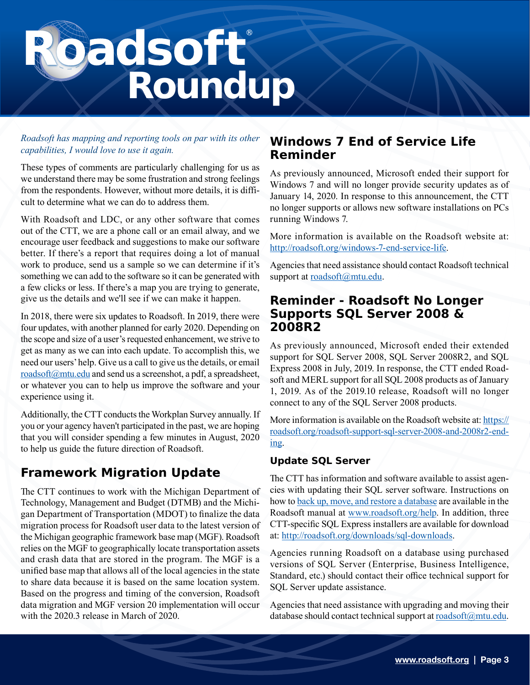# **Sadsoft**

### *Roadsoft has mapping and reporting tools on par with its other capabilities, I would love to use it again.*

These types of comments are particularly challenging for us as we understand there may be some frustration and strong feelings from the respondents. However, without more details, it is difficult to determine what we can do to address them.

With Roadsoft and LDC, or any other software that comes out of the CTT, we are a phone call or an email alway, and we encourage user feedback and suggestions to make our software better. If there's a report that requires doing a lot of manual work to produce, send us a sample so we can determine if it's something we can add to the software so it can be generated with a few clicks or less. If there's a map you are trying to generate, give us the details and we'll see if we can make it happen.

In 2018, there were six updates to Roadsoft. In 2019, there were four updates, with another planned for early 2020. Depending on the scope and size of a user's requested enhancement, we strive to get as many as we can into each update. To accomplish this, we need our users' help. Give us a call to give us the details, or email [roadsoft@mtu.edu](mailto:roadsoft%40mtu.edu?subject=) and send us a screenshot, a pdf, a spreadsheet, or whatever you can to help us improve the software and your experience using it.

Additionally, the CTT conducts the Workplan Survey annually. If you or your agency haven't participated in the past, we are hoping that you will consider spending a few minutes in August, 2020 to help us guide the future direction of Roadsoft.

## **Framework Migration Update**

The CTT continues to work with the Michigan Department of Technology, Management and Budget (DTMB) and the Michigan Department of Transportation (MDOT) to finalize the data migration process for Roadsoft user data to the latest version of the Michigan geographic framework base map (MGF). Roadsoft relies on the MGF to geographically locate transportation assets and crash data that are stored in the program. The MGF is a unified base map that allows all of the local agencies in the state to share data because it is based on the same location system. Based on the progress and timing of the conversion, Roadsoft data migration and MGF version 20 implementation will occur with the 2020.3 release in March of 2020.

## **Windows 7 End of Service Life Reminder**

As previously announced, Microsoft ended their support for Windows 7 and will no longer provide security updates as of January 14, 2020. In response to this announcement, the CTT no longer supports or allows new software installations on PCs running Windows 7.

More information is available on the Roadsoft website at: [http://roadsoft.org/windows-7-end-service-life.](http://roadsoft.org/windows-7-end-service-life)

Agencies that need assistance should contact Roadsoft technical support at [roadsoft@mtu.edu](mailto:roadsoft%40mtu.edu?subject=).

## **Reminder - Roadsoft No Longer Supports SQL Server 2008 & 2008R2**

As previously announced, Microsoft ended their extended support for SQL Server 2008, SQL Server 2008R2, and SQL Express 2008 in July, 2019. In response, the CTT ended Roadsoft and MERL support for all SQL 2008 products as of January 1, 2019. As of the 2019.10 release, Roadsoft will no longer connect to any of the SQL Server 2008 products.

More information is available on the Roadsoft website at: [https://](https://roadsoft.org/roadsoft-support-sql-server-2008-and-2008r2-ending) [roadsoft.org/roadsoft-support-sql-server-2008-and-2008r2-end](https://roadsoft.org/roadsoft-support-sql-server-2008-and-2008r2-ending)[ing](https://roadsoft.org/roadsoft-support-sql-server-2008-and-2008r2-ending).

### **Update SQL Server**

The CTT has information and software available to assist agencies with updating their SQL server software. Instructions on how to [back up, move, and restore a database](https://roadsoft.org/sites/roadsoft/files/manual/introduction.htm#t=Roadsoft%2FManage_Databases%2FBack_up%2C_Move___Restore_Databases%2FBack_up%2C_Move___Restore_Databases.htm) are available in the Roadsoft manual at [www.roadsoft.org/help](http://www.roadsoft.org/help). In addition, three CTT-specific SQL Express installers are available for download at: <http://roadsoft.org/downloads/sql-downloads>.

Agencies running Roadsoft on a database using purchased versions of SQL Server (Enterprise, Business Intelligence, Standard, etc.) should contact their office technical support for SQL Server update assistance.

Agencies that need assistance with upgrading and moving their database should contact technical support at [roadsoft@mtu.edu](mailto:roadsoft%40mtu.edu?subject=).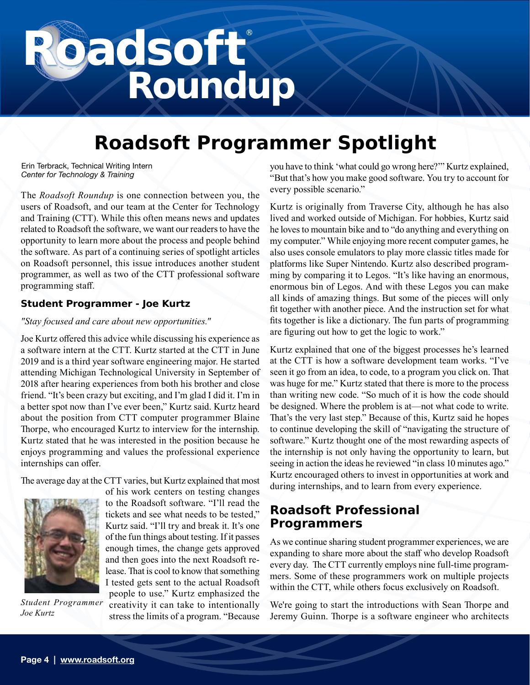# **Pacisoft**

# **Roadsoft Programmer Spotlight**

Erin Terbrack, Technical Writing Intern *Center for Technology & Training*

The *Roadsoft Roundup* is one connection between you, the users of Roadsoft, and our team at the Center for Technology and Training (CTT). While this often means news and updates related to Roadsoft the software, we want our readers to have the opportunity to learn more about the process and people behind the software. As part of a continuing series of spotlight articles on Roadsoft personnel, this issue introduces another student programmer, as well as two of the CTT professional software programming staff.

### **Student Programmer - Joe Kurtz**

### *"Stay focused and care about new opportunities."*

Joe Kurtz offered this advice while discussing his experience as a software intern at the CTT. Kurtz started at the CTT in June 2019 and is a third year software engineering major. He started attending Michigan Technological University in September of 2018 after hearing experiences from both his brother and close friend. "It's been crazy but exciting, and I'm glad I did it. I'm in a better spot now than I've ever been," Kurtz said. Kurtz heard about the position from CTT computer programmer Blaine Thorpe, who encouraged Kurtz to interview for the internship. Kurtz stated that he was interested in the position because he enjoys programming and values the professional experience internships can offer.

The average day at the CTT varies, but Kurtz explained that most



of his work centers on testing changes to the Roadsoft software. "I'll read the tickets and see what needs to be tested," Kurtz said. "I'll try and break it. It's one of the fun things about testing. If it passes enough times, the change gets approved and then goes into the next Roadsoft release. That is cool to know that something I tested gets sent to the actual Roadsoft people to use." Kurtz emphasized the creativity it can take to intentionally stress the limits of a program. "Because

*Student Programmer Joe Kurtz*

you have to think 'what could go wrong here?'" Kurtz explained, "But that's how you make good software. You try to account for every possible scenario."

Kurtz is originally from Traverse City, although he has also lived and worked outside of Michigan. For hobbies, Kurtz said he loves to mountain bike and to "do anything and everything on my computer." While enjoying more recent computer games, he also uses console emulators to play more classic titles made for platforms like Super Nintendo. Kurtz also described programming by comparing it to Legos. "It's like having an enormous, enormous bin of Legos. And with these Legos you can make all kinds of amazing things. But some of the pieces will only fit together with another piece. And the instruction set for what fits together is like a dictionary. The fun parts of programming are figuring out how to get the logic to work."

Kurtz explained that one of the biggest processes he's learned at the CTT is how a software development team works. "I've seen it go from an idea, to code, to a program you click on. That was huge for me." Kurtz stated that there is more to the process than writing new code. "So much of it is how the code should be designed. Where the problem is at—not what code to write. That's the very last step." Because of this, Kurtz said he hopes to continue developing the skill of "navigating the structure of software." Kurtz thought one of the most rewarding aspects of the internship is not only having the opportunity to learn, but seeing in action the ideas he reviewed "in class 10 minutes ago." Kurtz encouraged others to invest in opportunities at work and during internships, and to learn from every experience.

## **Roadsoft Professional Programmers**

As we continue sharing student programmer experiences, we are expanding to share more about the staff who develop Roadsoft every day. The CTT currently employs nine full-time programmers. Some of these programmers work on multiple projects within the CTT, while others focus exclusively on Roadsoft.

We're going to start the introductions with Sean Thorpe and Jeremy Guinn. Thorpe is a software engineer who architects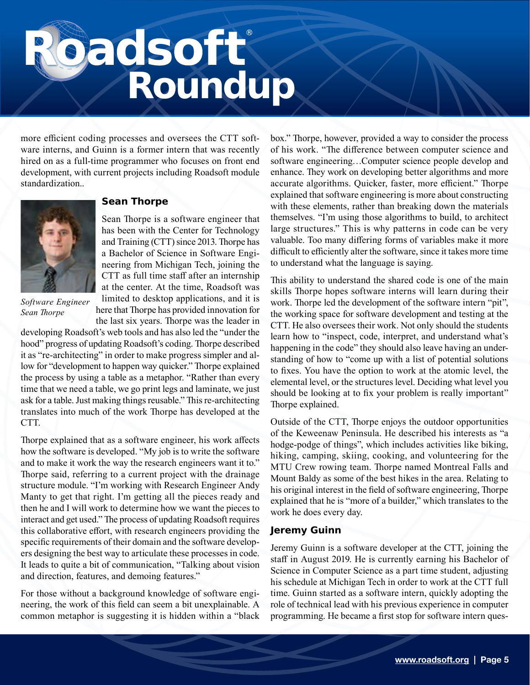# **Pacisoft**

more efficient coding processes and oversees the CTT software interns, and Guinn is a former intern that was recently hired on as a full-time programmer who focuses on front end development, with current projects including Roadsoft module standardization..



*Software Engineer Sean Thorpe*

### **Sean Thorpe**

Sean Thorpe is a software engineer that has been with the Center for Technology and Training (CTT) since 2013. Thorpe has a Bachelor of Science in Software Engineering from Michigan Tech, joining the CTT as full time staff after an internship at the center. At the time, Roadsoft was limited to desktop applications, and it is here that Thorpe has provided innovation for the last six years. Thorpe was the leader in

developing Roadsoft's web tools and has also led the "under the hood" progress of updating Roadsoft's coding. Thorpe described it as "re-architecting" in order to make progress simpler and allow for "development to happen way quicker." Thorpe explained the process by using a table as a metaphor. "Rather than every time that we need a table, we go print legs and laminate, we just ask for a table. Just making things reusable." This re-architecting translates into much of the work Thorpe has developed at the CTT.

Thorpe explained that as a software engineer, his work affects how the software is developed. "My job is to write the software and to make it work the way the research engineers want it to." Thorpe said, referring to a current project with the drainage structure module. "I'm working with Research Engineer Andy Manty to get that right. I'm getting all the pieces ready and then he and I will work to determine how we want the pieces to interact and get used." The process of updating Roadsoft requires this collaborative effort, with research engineers providing the specific requirements of their domain and the software developers designing the best way to articulate these processes in code. It leads to quite a bit of communication, "Talking about vision and direction, features, and demoing features."

For those without a background knowledge of software engineering, the work of this field can seem a bit unexplainable. A common metaphor is suggesting it is hidden within a "black box." Thorpe, however, provided a way to consider the process of his work. "The difference between computer science and software engineering…Computer science people develop and enhance. They work on developing better algorithms and more accurate algorithms. Quicker, faster, more efficient." Thorpe explained that software engineering is more about constructing with these elements, rather than breaking down the materials themselves. "I'm using those algorithms to build, to architect large structures." This is why patterns in code can be very valuable. Too many differing forms of variables make it more difficult to efficiently alter the software, since it takes more time to understand what the language is saying.

This ability to understand the shared code is one of the main skills Thorpe hopes software interns will learn during their work. Thorpe led the development of the software intern "pit", the working space for software development and testing at the CTT. He also oversees their work. Not only should the students learn how to "inspect, code, interpret, and understand what's happening in the code" they should also leave having an understanding of how to "come up with a list of potential solutions to fixes. You have the option to work at the atomic level, the elemental level, or the structures level. Deciding what level you should be looking at to fix your problem is really important" Thorpe explained.

Outside of the CTT, Thorpe enjoys the outdoor opportunities of the Keweenaw Peninsula. He described his interests as "a hodge-podge of things", which includes activities like biking, hiking, camping, skiing, cooking, and volunteering for the MTU Crew rowing team. Thorpe named Montreal Falls and Mount Baldy as some of the best hikes in the area. Relating to his original interest in the field of software engineering, Thorpe explained that he is "more of a builder," which translates to the work he does every day.

### **Jeremy Guinn**

Jeremy Guinn is a software developer at the CTT, joining the staff in August 2019. He is currently earning his Bachelor of Science in Computer Science as a part time student, adjusting his schedule at Michigan Tech in order to work at the CTT full time. Guinn started as a software intern, quickly adopting the role of technical lead with his previous experience in computer programming. He became a first stop for software intern ques-